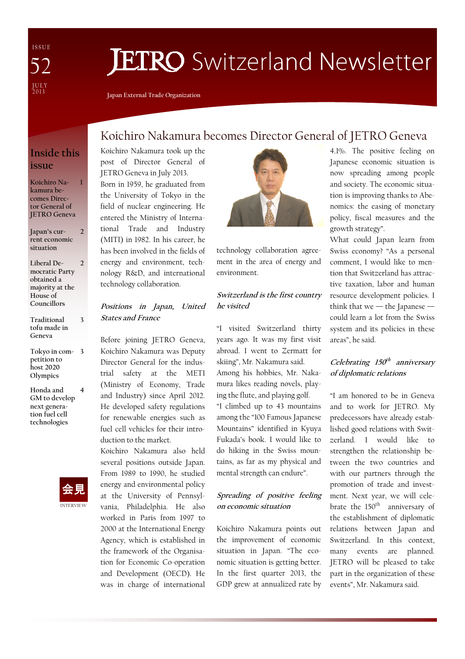I S S U E J U L Y<br>2013 52

# **JETRO** Switzerland Newsletter

Japan External Trade Organization

## Inside this issue

1

3

Koichiro Nakamura becomes Director General of JETRO Geneva

- Japan's current economic situation 2
- Liberal Democratic Party obtained a majority at the House of Councillors 2
- Traditional tofu made in Geneva
- Tokyo in com-3 petition to host 2020 **Olympics**
- Honda and GM to develop next generation fuel cell technologies 4



# Koichiro Nakamura becomes Director General of JETRO Geneva

Koichiro Nakamura took up the post of Director General of JETRO Geneva in July 2013. Born in 1959, he graduated from the University of Tokyo in the field of nuclear engineering. He entered the Ministry of International Trade and Industry (MITI) in 1982. In his career, he has been involved in the fields of energy and environment, technology R&D, and international technology collaboration.

#### Positions in Japan, United States and France

Before joining JETRO Geneva, Koichiro Nakamura was Deputy Director General for the industrial safety at the METI (Ministry of Economy, Trade and Industry) since April 2012. He developed safety regulations for renewable energies such as fuel cell vehicles for their introduction to the market.

Koichiro Nakamura also held several positions outside Japan. From 1989 to 1990, he studied energy and environmental policy at the University of Pennsylvania, Philadelphia. He also worked in Paris from 1997 to 2000 at the International Energy Agency, which is established in the framework of the Organisation for Economic Co-operation and Development (OECD). He was in charge of international



technology collaboration agreement in the area of energy and environment.

### Switzerland is the first country he visited

"I visited Switzerland thirty years ago. It was my first visit abroad. I went to Zermatt for skiing", Mr. Nakamura said. Among his hobbies, Mr. Nakamura likes reading novels, playing the flute, and playing golf. "I climbed up to 43 mountains among the "100 Famous Japanese Mountains" identified in Kyuya Fukada's book. I would like to do hiking in the Swiss mountains, as far as my physical and mental strength can endure".

## Spreading of positive feeling on economic situation

Koichiro Nakamura points out the improvement of economic situation in Japan. "The economic situation is getting better. In the first quarter 2013, the GDP grew at annualized rate by

4.1%. The positive feeling on Japanese economic situation is now spreading among people and society. The economic situation is improving thanks to Abenomics: the easing of monetary policy, fiscal measures and the growth strategy".

What could Japan learn from Swiss economy? "As a personal comment, I would like to mention that Switzerland has attractive taxation, labor and human resource development policies. I think that we  $-$  the Japanese  $$ could learn a lot from the Swiss system and its policies in these areas", he said.

## Celebrating 150<sup>th</sup> anniversary of diplomatic relations

"I am honored to be in Geneva and to work for JETRO. My predecessors have already established good relations with Switzerland. I would like to strengthen the relationship between the two countries and with our partners through the promotion of trade and investment. Next year, we will celebrate the 150<sup>th</sup> anniversary of the establishment of diplomatic relations between Japan and Switzerland. In this context, many events are planned. JETRO will be pleased to take part in the organization of these events", Mr. Nakamura said.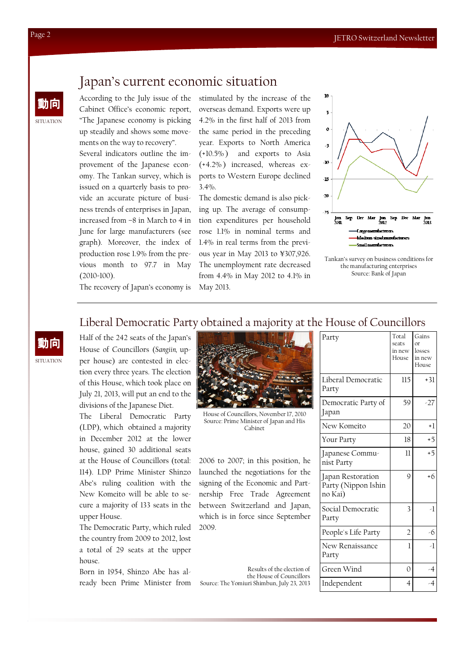## Japan's current economic situation

 $\lim_{x\to 0}$  According to the July issue of the Cabinet Office's economic report, "The Japanese economy is picking up steadily and shows some movements on the way to recovery". Several indicators outline the improvement of the Japanese economy. The Tankan survey, which is issued on a quarterly basis to provide an accurate picture of business trends of enterprises in Japan,

increased from –8 in March to 4 in June for large manufacturers (see graph). Moreover, the index of production rose 1.9% from the previous month to 97.7 in May (2010=100).

stimulated by the increase of the overseas demand. Exports were up 4.2% in the first half of 2013 from the same period in the preceding year. Exports to North America (+10.5% ) and exports to Asia (+4.2% ) increased, whereas exports to Western Europe declined 3.4%.

The domestic demand is also picking up. The average of consumption expenditures per household rose 1.1% in nominal terms and 1.4% in real terms from the previous year in May 2013 to ¥307,926. The unemployment rate decreased from 4.4% in May 2012 to 4.1% in May 2013.



Tankan's survey on business conditions for the manufacturing enterprises Source: Bank of Japan

The recovery of Japan's economy is

## Liberal Democratic Party obtained a majority at the House of Councillors

House of Councillors (Sangiin, upper house) are contested in election every three years. The election of this House, which took place on July 21, 2013, will put an end to the divisions of the Japanese Diet.

The Liberal Democratic Party (LDP), which obtained a majority in December 2012 at the lower house, gained 30 additional seats at the House of Councillors (total: 114). LDP Prime Minister Shinzo Abe's ruling coalition with the New Komeito will be able to secure a majority of 133 seats in the upper House.

The Democratic Party, which ruled the country from 2009 to 2012, lost a total of 29 seats at the upper house.

Born in 1954, Shinzo Abe has al-



House of Councillors, November 17, 2010 Source: Prime Minister of Japan and His Cabinet

2006 to 2007; in this position, he launched the negotiations for the signing of the Economic and Partnership Free Trade Agreement between Switzerland and Japan, which is in force since September 2009.

ready been Prime Minister from Source: The Yomiuri Shimbun, July 23, 2013 Results of the election of the House of Councillors

| Party                                               | Total<br>seats<br>in new<br>House | Gains<br>$\alpha$ <sup>r</sup><br>losses<br>in new<br>House |
|-----------------------------------------------------|-----------------------------------|-------------------------------------------------------------|
| Liberal Democratic<br>Party                         | 115                               | $+31$                                                       |
| Democratic Party of<br>Japan                        | 59                                | $-27$                                                       |
| New Komeito                                         | 20                                | $+1$                                                        |
| Your Party                                          | 18                                | $+5$                                                        |
| Japanese Commu-<br>nist Party                       | $\overline{11}$                   | $+5$                                                        |
| Japan Restoration<br>Party (Nippon Ishin<br>no Kai) | $\mathsf{Q}$                      | $+6$                                                        |
| Social Democratic<br>Party                          | 3                                 | -1                                                          |
| People's Life Party                                 | $\overline{2}$                    | -6                                                          |
| New Renaissance<br>Party                            | 1                                 | $-1$                                                        |
| Green Wind                                          | $\Omega$                          | -4                                                          |
| Independent                                         | 4                                 | $-4$                                                        |

SITUATION

**SITUATION**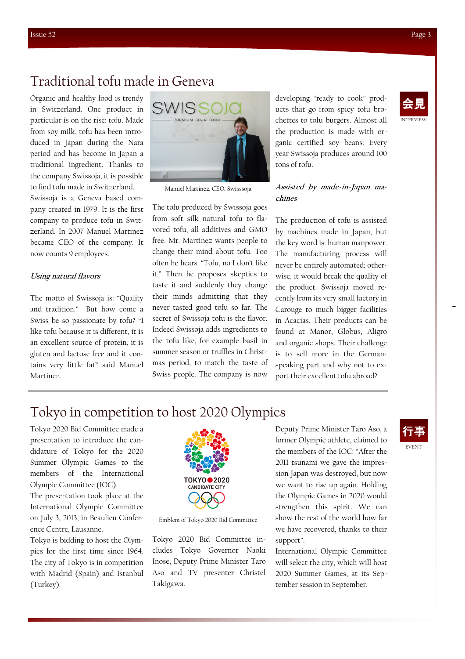## Traditional tofu made in Geneva

Organic and healthy food is trendy in Switzerland. One product in particular is on the rise: tofu. Made from soy milk, tofu has been introduced in Japan during the Nara period and has become in Japan a traditional ingredient. Thanks to the company Swissoja, it is possible to find tofu made in Switzerland.

Swissoja is a Geneva based company created in 1979. It is the first company to produce tofu in Switzerland. In 2007 Manuel Martinez became CEO of the company. It now counts 9 employees.

#### Using natural flavors

The motto of Swissoja is: "Quality and tradition." But how come a Swiss be so passionate by tofu? "I like tofu because it is different, it is an excellent source of protein, it is gluten and lactose free and it contains very little fat" said Manuel Martinez.



Manuel Martinez, CEO, Swisssoja

The tofu produced by Swissoja goes from soft silk natural tofu to flavored tofu, all additives and GMO free. Mr. Martinez wants people to change their mind about tofu. Too often he hears: "Tofu, no I don't like it." Then he proposes skeptics to taste it and suddenly they change their minds admitting that they never tasted good tofu so far. The secret of Swissoja tofu is the flavor. Indeed Swissoja adds ingredients to the tofu like, for example basil in summer season or truffles in Christmas period, to match the taste of Swiss people. The company is now

developing "ready to cook" products that go from spicy tofu brochettes to tofu burgers. Almost all the production is made with organic certified soy beans. Every year Swissoja produces around 100 tons of tofu.

#### Assisted by made-in-Japan machines

The production of tofu is assisted by machines made in Japan, but the key word is: human manpower. The manufacturing process will never be entirely automated; otherwise, it would break the quality of the product. Swissoja moved recently from its very small factory in Carouge to much bigger facilities in Acacias. Their products can be found at Manor, Globus, Aligro and organic shops. Their challenge is to sell more in the Germanspeaking part and why not to export their excellent tofu abroad?

# Tokyo in competition to host 2020 Olympics

Tokyo 2020 Bid Committee made a presentation to introduce the candidature of Tokyo for the 2020 Summer Olympic Games to the members of the International Olympic Committee (IOC).

The presentation took place at the International Olympic Committee on July 3, 2013, in Beaulieu Conference Centre, Lausanne.

Tokyo is bidding to host the Olympics for the first time since 1964. The city of Tokyo is in competition with Madrid (Spain) and Istanbul (Turkey).



Emblem of Tokyo 2020 Bid Committee

Tokyo 2020 Bid Committee includes Tokyo Governor Naoki Inose, Deputy Prime Minister Taro Aso and TV presenter Christel Takigawa.

Deputy Prime Minister Taro Aso, a former Olympic athlete, claimed to the members of the IOC: "After the 2011 tsunami we gave the impression Japan was destroyed, but now we want to rise up again. Holding the Olympic Games in 2020 would strengthen this spirit. We can show the rest of the world how far we have recovered, thanks to their support".

International Olympic Committee will select the city, which will host 2020 Summer Games, at its September session in September.